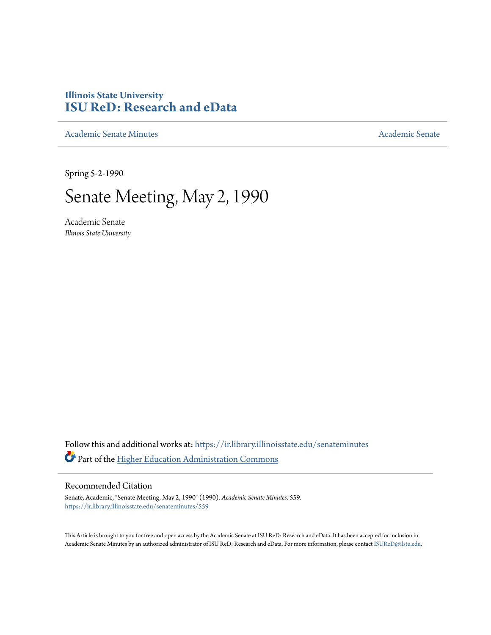# **Illinois State University [ISU ReD: Research and eData](https://ir.library.illinoisstate.edu?utm_source=ir.library.illinoisstate.edu%2Fsenateminutes%2F559&utm_medium=PDF&utm_campaign=PDFCoverPages)**

[Academic Senate Minutes](https://ir.library.illinoisstate.edu/senateminutes?utm_source=ir.library.illinoisstate.edu%2Fsenateminutes%2F559&utm_medium=PDF&utm_campaign=PDFCoverPages) [Academic Senate](https://ir.library.illinoisstate.edu/senate?utm_source=ir.library.illinoisstate.edu%2Fsenateminutes%2F559&utm_medium=PDF&utm_campaign=PDFCoverPages) Academic Senate

Spring 5-2-1990

# Senate Meeting, May 2, 1990

Academic Senate *Illinois State University*

Follow this and additional works at: [https://ir.library.illinoisstate.edu/senateminutes](https://ir.library.illinoisstate.edu/senateminutes?utm_source=ir.library.illinoisstate.edu%2Fsenateminutes%2F559&utm_medium=PDF&utm_campaign=PDFCoverPages) Part of the [Higher Education Administration Commons](http://network.bepress.com/hgg/discipline/791?utm_source=ir.library.illinoisstate.edu%2Fsenateminutes%2F559&utm_medium=PDF&utm_campaign=PDFCoverPages)

## Recommended Citation

Senate, Academic, "Senate Meeting, May 2, 1990" (1990). *Academic Senate Minutes*. 559. [https://ir.library.illinoisstate.edu/senateminutes/559](https://ir.library.illinoisstate.edu/senateminutes/559?utm_source=ir.library.illinoisstate.edu%2Fsenateminutes%2F559&utm_medium=PDF&utm_campaign=PDFCoverPages)

This Article is brought to you for free and open access by the Academic Senate at ISU ReD: Research and eData. It has been accepted for inclusion in Academic Senate Minutes by an authorized administrator of ISU ReD: Research and eData. For more information, please contact [ISUReD@ilstu.edu.](mailto:ISUReD@ilstu.edu)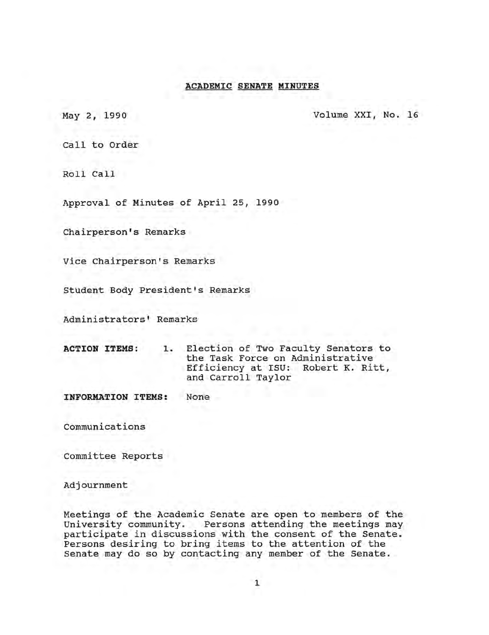## **ACADEMIC SENATE MINUTES**

May 2, 1990 Volume XXI, No. 16

Call to Order

Roll Call

Approval of Minutes of April 25, 1990

Chairperson's Remarks

Vice Chairperson's Remarks

student Body President's Remarks

Administrators' Remarks

|  | <b>ACTION ITEMS:</b> | T v | Election of Two Faculty Senators to<br>the Task Force on Administrative |  |  |  |  |  |  |
|--|----------------------|-----|-------------------------------------------------------------------------|--|--|--|--|--|--|
|  |                      |     | Efficiency at ISU: Robert K. Ritt,<br>and Carroll Taylor                |  |  |  |  |  |  |

**INFORMATION ITEMS:** None

communications

Committee Reports

Adjournment

Meetings of the Academic Senate are open to members of the University community. Persons attending the meetings may participate in discussions with the consent of the Senate. Persons desiring to bring items to the attention of the Senate may do so by contacting any member of the Senate.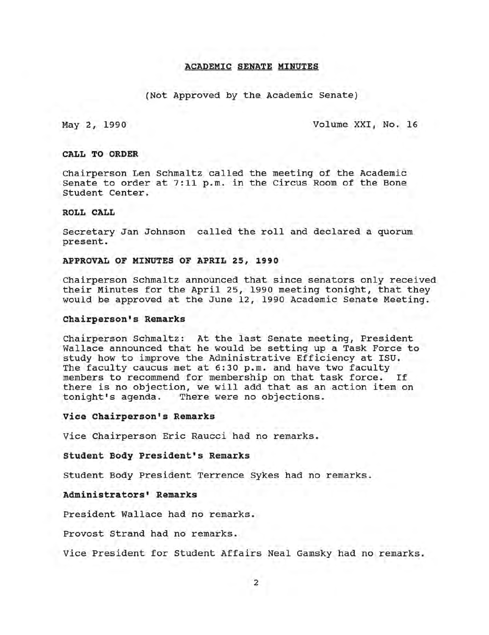#### **ACADEMIC SENATE MINUTES**

#### (Not Approved by the Academic Senate)

May 2, 1990 Volume XXI, No. 16

#### **CALL TO ORDER**

Chairperson Len Schmaltz called the meeting of the Academic Senate to order at 7:11 p.m. in the Circus Room of the Bone Student Center.

#### **ROLL CALL**

Secretary Jan Johnson called the roll and declared a quorum present.

#### **APPROVAL OF MINUTES OF APRIL 25, 1990**

Chairperson Schmaltz announced that since senators only received their Minutes for the April 25, 1990 meeting tonight, that they would be approved at the June 12, 1990 Academic Senate Meeting.

#### **Chairperson's Remarks**

Chairperson Schmaltz: At the last Senate meeting, President Wallace announced that he would be setting up a Task Force to study how to improve the Administrative Efficiency at ISU. The faculty caucus met at 6:30 p.m. and have two faculty members to recommend for membership on that task force. If there is no objection, we will add that as an action item on<br>tonight's agenda. There were no objections. There were no objections.

#### **vice Chairperson's Remarks**

Vice Chairperson Eric Raucci had no remarks.

**Student Body President's Remarks** 

Student Body President Terrence Sykes had no remarks.

#### **Administrators' Remarks**

President Wallace had no remarks.

Provost Strand had no remarks.

Vice President for Student Affairs Neal Gamsky had no remarks.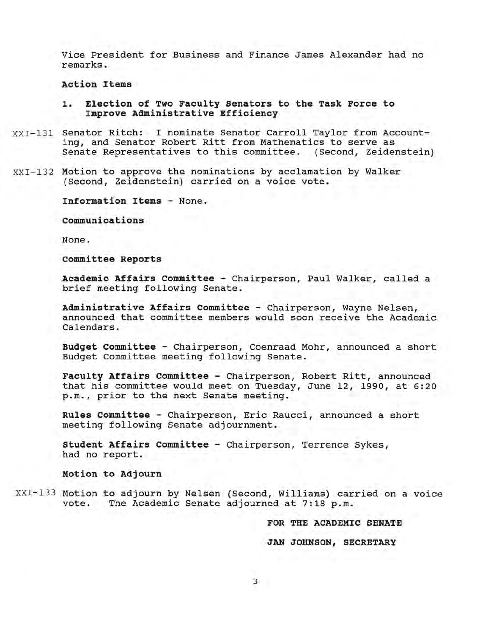Vice President for Business and Finance James Alexander had no remarks.

**Action Items** 

- **1. Election of Two Faculty Senators to the Task Force to Improve Administrative Efficiency**
- XXI-131 Senator Ritch: I nominate Senator Carroll Taylor from Accounting, and Senator Robert Ritt from Mathematics to serve as Senate Representatives to this committee. (Second, Zeidenstein)
- XXI-132 Motion to approve the nominations by acclamation by Walker (Second, Zeidenstein) carried on a voice vote.

**Information Items -** None.

**communications** 

None.

**committee Reports** 

**Academic Affairs committee -** Chairperson, Paul Walker, called a brief meeting following Senate.

**Administrative Affairs committee -** Chairperson, Wayne Nelsen, announced that committee members would soon receive the Academic Calendars.

**Budget committee -** Chairperson, Coenraad Mohr, announced a short Budget Committee meeting following Senate.

**Faculty Affairs committee -** Chairperson, Robert Ritt, announced that his committee would meet on Tuesday, June 12, 1990, at 6:20 p.m., prior to the next Senate meeting.

**Rules committee -** Chairperson, Eric Raucci, announced a short meeting following Senate adjournment.

**Student Affairs committee -** Chairperson, Terrence Sykes, had no report.

**Motion to Adjourn** 

XXI~133 Motion to adjourn by Nelsen (Second, Williams) carried on a voice vote. The Academic Senate adjourned at 7:18 p.m.

**FOR THE ACADEMIC SENATE** 

**JAN JOHNSON, SECRETARY**